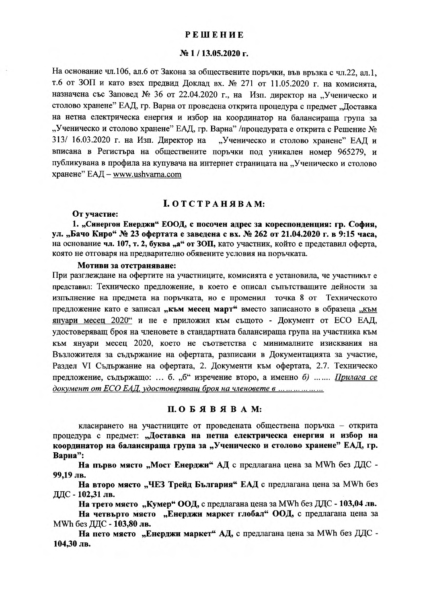### **РЕШЕНИЕ**

# № 1/13.05.2020 г.

На основание чл.106, ал.6 от Закона за обществените поръчки, във връзка с чл.22, ал.1, т.6 от ЗОП и като взех предвид Доклад вх. № 271 от 11.05.2020 г. на комисията, назначена със Заповед № 36 от 22.04.2020 г., на Изп. директор на "Ученическо и столово хранене" ЕАД, гр. Варна от проведена открита процедура с предмет "Доставка на нетна електрическа енергия и избор на координатор на балансираща група за "Ученическо и столово хранене" ЕАД, гр. Варна" /процедурата е открита с Решение № 313/ 16.03.2020 г. на Изп. Директор на "Ученическо и столово хранене" ЕАД и вписана в Регистъра на обществените поръчки под уникален номер 965279, и публикувана в профила на купувача на интернет страницата на "Ученическо и столово хранене" ЕАД - www.ushvarna.com

### **I. ОТСТРАНЯВАМ:**

# От участие:

1. "Синергон Енерджи" ЕООД, с посочен адрес за кореспонденция: гр. София, ул. "Бачо Киро" № 23 офертата е заведена с вх. № 262 от 21.04.2020 г. в 9:15 часа, на основание чл. 107, т. 2, буква "а" от ЗОП, като участник, който е представил оферта, която не отговаря на предварително обявените условия на поръчката.

#### Мотиви за отстраняване:

При разглеждане на офертите на участниците, комисията е установила, че участникът е представил: Техническо предложение, в което е описал съпътстващите дейности за изпълнение на предмета на поръчката, но е променил точка 8 от Техническото предложение като е записал "към месец март" вместо записаното в образеца "към януари месец 2020" и не е приложил към същото - Документ от ЕСО ЕАД, удостоверяващ броя на членовете в стандартната балансираща група на участника към към януари месец 2020, което не съответства с минималните изисквания на Възложителя за съдържание на офертата, разписани в Документацията за участие, Раздел VI Съдържание на офертата, 2. Документи към офертата, 2.7. Техническо предложение, съдържащо: ... б. "б" изречение второ, а именно б) ....... Прилага се документ от ЕСО ЕАД, удостоверяващ броя на членовете в ... ... ... ... ...

## ПОБЯВЯВАМ:

класирането на участниците от проведената обществена поръчка - открита процедура с предмет: "Доставка на нетна електрическа енергия и избор на координатор на балансираща група за "Ученическо и столово хранене" ЕАД, гр. Варна":

На първо място "Мост Енерджи" АД с предлагана цена за MWh без ДДС -99,19 лв.

На второ място "ЧЕЗ Трейд България" ЕАД с предлагана цена за MWh без ДДС - 102,31 лв.

На трето място "Кумер" ООД, с предлагана цена за MWh без ДДС - 103,04 лв.

На четвърто място "Енерджи маркет глобал" ООД, с предлагана цена за MWh без ДДС - 103,80 лв.

На пето място "Енерджи маркет" АД, с предлагана цена за MWh без ДДС -104,30 лв.